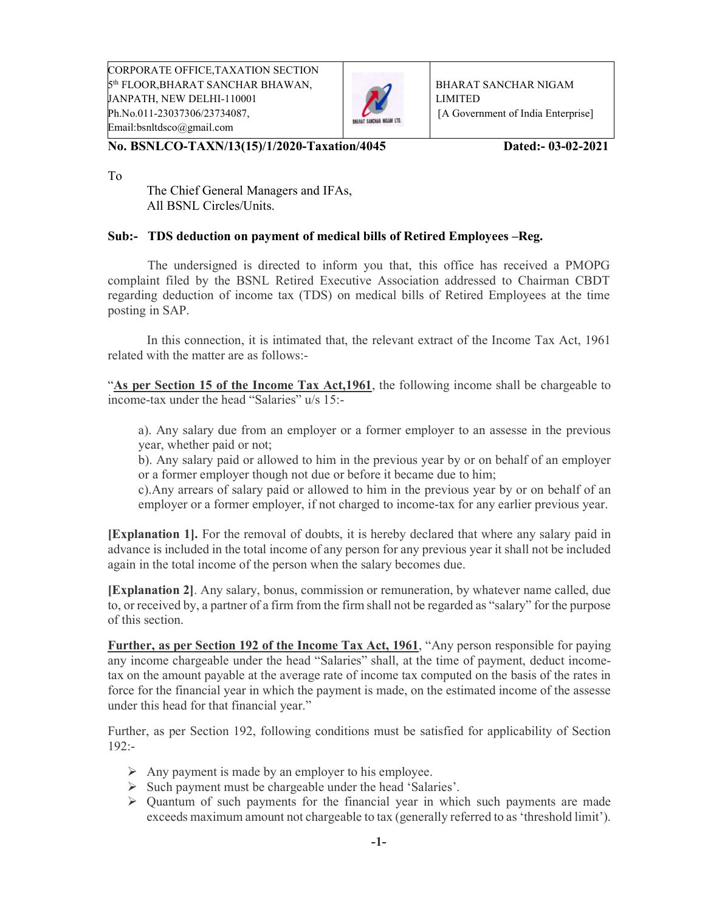CORPORATE OFFICE,TAXATION SECTION 5<sup>th</sup> FLOOR,BHARAT SANCHAR BHAWAN, JANPATH, NEW DELHI-110001 Ph.No.011-23037306/23734087, Email:bsnltdsco@gmail.com



BHARAT SANCHAR NIGAM LIMITED [A Government of India Enterprise]

No. BSNLCO-TAXN/13(15)/1/2020-Taxation/4045 Dated:- 03-02-2021

To

 The Chief General Managers and IFAs, All BSNL Circles/Units.

## Sub:- TDS deduction on payment of medical bills of Retired Employees –Reg.

 The undersigned is directed to inform you that, this office has received a PMOPG complaint filed by the BSNL Retired Executive Association addressed to Chairman CBDT regarding deduction of income tax (TDS) on medical bills of Retired Employees at the time posting in SAP.

 In this connection, it is intimated that, the relevant extract of the Income Tax Act, 1961 related with the matter are as follows:-

"As per Section 15 of the Income Tax Act,1961, the following income shall be chargeable to income-tax under the head "Salaries" u/s 15:-

a). Any salary due from an employer or a former employer to an assesse in the previous year, whether paid or not;

b). Any salary paid or allowed to him in the previous year by or on behalf of an employer or a former employer though not due or before it became due to him;

c).Any arrears of salary paid or allowed to him in the previous year by or on behalf of an employer or a former employer, if not charged to income-tax for any earlier previous year.

[Explanation 1]. For the removal of doubts, it is hereby declared that where any salary paid in advance is included in the total income of any person for any previous year it shall not be included again in the total income of the person when the salary becomes due.

[Explanation 2]. Any salary, bonus, commission or remuneration, by whatever name called, due to, or received by, a partner of a firm from the firm shall not be regarded as "salary" for the purpose of this section.

Further, as per Section 192 of the Income Tax Act, 1961, "Any person responsible for paying any income chargeable under the head "Salaries" shall, at the time of payment, deduct incometax on the amount payable at the average rate of income tax computed on the basis of the rates in force for the financial year in which the payment is made, on the estimated income of the assesse under this head for that financial year."

Further, as per Section 192, following conditions must be satisfied for applicability of Section 192:-

- $\triangleright$  Any payment is made by an employer to his employee.
- $\triangleright$  Such payment must be chargeable under the head 'Salaries'.
- $\triangleright$  Quantum of such payments for the financial year in which such payments are made exceeds maximum amount not chargeable to tax (generally referred to as 'threshold limit').